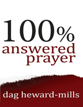# answered prayer

dag heward-mills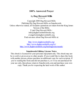#### **100% Answered Prayer**

#### By **Dag Heward-Mills** \* \* \* \* \*

Copyright 2000 Dag Heward-Mills Published By Dag Heward-Mills on Smashwords Unless otherwise stated, all Scripture quotations are taken from the King James Version of the Bible. E mail Dag Heward-Mills : info@daghewardmillsbooks.org evangelist@daghewardmills.org Find out more about Dag Heward-Mills at:

> <http://www.daghewardmills.org/> <http://www.daghewardmills.org/lci/> <http://www.daghewardmills.org/healingjesuscrusade/>

#### **Smashwords Edition, License Notes**

This ebook is licensed for your personal enjoyment only. This ebook may not be re-sold or given away to other people. If you would like to share this book with another person, please purchase an additional copy for each recipient. If you're reading this book and did not purchase it, or it was not purchased for your use only, then please return to Smashwords.com and purchase your own copy. Thank you for respecting the hard work of this author.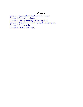#### *Contents*

Chapter 1.-You Can Have 100% [Answered](#page-3-0) Prayer Chapter 2.-Praying to the Father Chapter 3.-Abiding, Obeying and Bearing Fruit Chapter 4.-The Failure-Proof Keys: Faith and Persistence Chapter 5.-Praying Amiss Chapter 6.-All Kinds of Prayer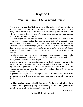# **You Can Have 100% Answered Prayer**

<span id="page-3-0"></span>Prayer is a privilege that God has given to His children. We can talk to our heavenly Father directly and receive answers. I realize from the attitudes of many Christians that they do not believe that God really answers prayer. But why pray if you will not get results? I believe that you can have one hundred per cent results every time you pray.

Why pray if you will not receive an answer? Many people take prayer to be some kind of religious routine they must perform. God's Word guarantees us a hundred per cent results every time we pray. If you look closely at the Scriptures which speak about prayer, you will discover that Jesus did not say that we might possibly *(perhaps, maybe, in the sweet by and by, all things being equal*) get an answer to our prayers. He said that we would get an answer.

I wrote this book for you! I want you to receive one hundred per cent results every time you pray. If it is real, it is real! If it is not real, it is not real! If God exists, then He *can* answer your prayer.

Is God alive? Is He real? Can He hear? Is He deaf? I am sure you know the answers to these questions. God is alive and well and He wants to bless you. If my God were a piece of wood or a stone, I would not serve Him. We do not worship the sun, the moon or the rivers. We worship a Living God who has power to save and to deliver.

Elijah once challenged the false prophets of Baal. He told them, "There is no use in serving a god who is not available. Our God is either alive or He is dead."

**…Elijah mocked them, and said, Cry aloud: for he is a god; either he is talking or he is pursuing** [using the bathroom!], **or he is in a journey, or peradventure he sleepeth, and must be awaked.**

**1 Kings 18:27**

## **The god Did Not Speak!**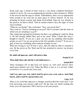Some years ago, a friend of mine went to a city about a hundred kilometers outside of Accra. He was accompanying his parents to their hometown. Whilst in the town he had the urge to urinate. Unfortunately, there was no appropriate toilet around so he went into an open space to relieve himself. As he was urinating, he heard screams and shouts from behind. Since he was already in the process, he had to finish. Then he turned round to face the anger of some local residents.

"What are you doing?" they exclaimed. "How can you do this?"

They went on, "You are urinating on our *god*!! Don't you know that the stone on which you are urinating is a *god*?"

This young man apologized profusely but there was nothing he could do about it. He had already bathed their god in his urine! When I heard this story I thought to myself, "If you are a god, can you not say anything when people urinate on you? Can you not protest at the first sprinkle of urine?" If you are a god, at least say something when someone urinates on you!

What am I trying to say? If God is alive, then He must be able to respond to you. He has given us His Word and He has promised to answer our prayers every time.

#### **He shall call upon me, and I will answer him.**

#### **Psalm 91:15**

#### **Then shalt thou call, and the Lord shall answer…**

#### **Isaiah 58:9**

These Scriptures tell us that God *will* answer us. God *shall* answer! How much more definite can it be? Either the Bible is true or it is not true. Either you believe it or you do not! Jesus said,

#### **And I say unto you, Ask, and it** *shall* **be given you; seek, and ye** *shall* **find; knock, and it** *shall* **be opened unto you.**

#### **Luke 11:9**

There is no word that expresses a stronger assertion than the word *shall*. I see God answering your prayers right now! By the time you finish reading this book, you will experience 100% answers to all your prayers.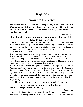# **Praying to the Father**

**And in that day ye shall ask me nothing. Verily, verily, I say unto you, Whatsoever ye shall ask the Father in my name he will give it you. Hitherto have ye asked nothing in my name: ask, and ye shall receive, that your joy may be full.**

**John 16:23,24**

#### **The first step to one hundred per cent answered prayer is to learn to pray yourself.**

Jesus taught us to pray to our heavenly Father. Many people do not know how to pray themselves. They want somebody else to pray for them. They ask the pastor to pray for them. They kneel down before prophets and request special prayers. *There is nothing wrong with being prayed for. But God wants you to learn how to pray for yourself!*

There are some pastors who entrust themselves to prayer warriors. They depend on other people to pray for them. I cannot entrust something as important as prayer to other people. I pray for myself. I consider the prayer support of friends and prayer warriors as an extra bonus. If it happens – fine! If it does not happen – fine! I am not depending on it anyway!

Your Christian life should not depend on another person's prayers. Jesus said, "You ask the Father." *You* are supposed to be able to pray yourself. Remember that the prayers of a righteous man avail much (James 5:16). You are the righteousness of God in Christ (2 Corinthians 5:21). You are righteous! You are righteous enough to get results for your prayers! Start praying for yourself now! Do not depend on your pastor. He may be snoring when you think he is praying for you!

## **The next vital step to receiving one hundred per cent answered prayer is to pray to the Father.**

**And in that day ye shall ask me nothing…**

#### **John 16:23**

Jesus said that in that day we will not ask *Him* for anything. What day is *that* day? Jesus was talking about the period when He would no longer be with the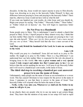disciples. In that day, Jesus would not expect anyone to pray to Him directly. Jesus was directing us to pray to the heavenly Father Himself. Is there any difference between praying to Jesus and praying to the heavenly Father? There must be, otherwise Jesus would not have told us what He did!

If you want one hundred per cent results, do what Jesus said you should do. Begin your prayer by saying, "Our Father," "Heavenly Father," "Dear Father," or "Father which art in heaven," etc. You will begin to experience better results.

## **Do Not Pray to a Handmaid**

Some people pray to Mary. This is unfortunate! I used to attend a church that prayed to Mary. In fact, I myself prayed to Mary almost every day. I think that our holy mother Mary must be wondering why people are praying to her. I am sure she asks herself, *"What can I do for these people? I am a mere mortal like any one of them."* Mary herself said that she was a mere servant of the Lord.

#### **And Mary said, Behold the handmaid of the Lord; be it unto me according to thy word.**

#### **Luke 1:38**

Why would you pray to a handmaid? Jesus did not teach us to pray to His mother. He taught us to pray to His Father. There is a big difference! I can understand how our holy mother Mary is respected for the role she played in bringing Jesus to this world. **She was a great woman and a very special vessel. I truly respect and admire her. But I cannot pray to her.** I do not believe that she can do anything for me now. I will pray to my Heavenly Father and I will receive a hundred per cent results, in the name of Jesus.

#### **The third vital step to receiving a hundred per cent answered prayer is to use the name of Jesus.**

Unfortunately, many people use the name of Jesus as an exclamation or a swear word. This has caused Christians to lose respect for the power in the name of Jesus. I announce to you that there is power in the name of Jesus! Your heavenly Father will respond when He hears the name of Jesus.

#### …**Verily, verily, I say unto you, Whatsoever ye shall ask the Father in my name he will give it you.**

#### **John 16:23**

In my church, there are people who try to use my name to get certain things done. They know that the mention of my name in our setup will lead to rapid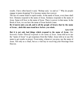results. I have often heard it said, "Bishop said, 'so and so'." Why do people engage in name dropping? It is because names have power.

The use of a name leads to rapid results. At the name of Jesus, every knee shall bow. Demons respond to the name of Jesus. Sickness responds to the name of Jesus. Satan will bow to the name of Jesus. There is power in that name. In the Book of Acts, we see how the name of Jesus healed a man.

**Be it known unto you all, and to all the people of Israel, that by the name of Jesus…doth this man stand here before you whole.**

#### **Acts 4:10**

**But it is not only bad things which respond to the name of Jesus**. *Our heavenly Father Himself responds to the name of Jesus.* Jesus told us to use the "name of Jesus" to get responses from the Father. Jesus told us to use His name to get results in prayer. From today, whenever you pray, use the name of Jesus. Not only as a ritual, but as a vital key to receiving your blessings from Heaven.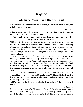# **Abiding, Obeying and Bearing Fruit**

**If ye abide in me and my words abide in you, ye shall ask what ye will, and it shall be done unto you.**

#### **John 15:7**

In this chapter, you will discover three other important steps to receiving hundred per cent answers to your prayers.

#### **The fourth step to receiving a hundred per cent answered prayer is to abide in Christ.**

Abiding in Christ is an important key to receiving any type of response from the Lord**. If you do not stay in the house, do not expect God to answer any of your prayers.** A hundred per cent answered prayer is for people who stay in Christ and in His church. When you wander away from God, you become like the prodigal son. You are far from your Father. The prodigal son did not stay in the house.

He moved out and lived in a far country. He fellowshipped with harlots and ate with pigs. The only help he could get was from pigs! So he "asked the pigs" for some of their food. The "pigs" had compassion on the prodigal son so they gave him some of their food. Even if his father had wanted to give him food, there was no way he could have. He was simply out of the reach of his father. The prodigal son ended up in the custody of a man who put him to work with swine.

When you do not stay in the house, you will end up with the pigs. Perhaps as you read this book, you realize that being far from God has not helped you. It is time to come back home. Staying in fellowship is an important key to receiving the blessings of the Lord.

**But if we walk in the light, as he is in the light, we have fellowship one with another…**

#### **1 John 1:7**

There are some people who think they can be good Christians without going to church. You are deceiving yourself! If you are walking in the light, you will have fellowship with others who are in the light. That is what this scripture is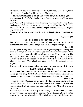telling you. Are you in the darkness or in the light? If you are in the light you will go to church and fellowship with other Christians.

#### **The next vital step is to let the Word of God abide in you.**

It is important for God's Word to be in you. God does not do anything outside His Word.

God's Word will direct you in your relationship with Him. God's Word directs you in prayer. God does not answer foolish prayers, neither does He do things against His Word. If you want to get hundred per cent answers to your prayers, stay in the Word.

**Order my steps in thy word: and let not any iniquity have dominion over me.**

#### **Psalm 119:133**

#### **The next step is to obey the Lord.**

#### **And whatsoever we ask, we receive of him, because we keep his commandments, and do those things that are pleasing in his sight.**

#### **1 John 3:22**

This Scripture is very clear. God answers the prayers of people who obey him. If you are living a life of disobedience, God will not honor your prayers. If you had a disobedient son who did not please you, would you just give him anything he asked for? Certainly not! Neither does your heavenly Father answer the prayers of disobedient children. If God has called you to the ministry, just obey! Your obedience opens the door for answers to your prayers.

#### **The seventh step to receiving answers to your prayer is to be a fruit bearing Christian**

**Ye have not chosen me but I have chosen you, and ordained you, that ye should go and bring forth fruit, and that your fruit should remain: that whatsoever ye shall ask of the Father in my name, he may give it you.**

#### **John 15:16**

I realize that many Christians do not know why they are alive. Let me tell you something right now. **If you are a born-again Christian, the only reason why you are being kept alive is so that you can bear fruit.** After all, Heaven is guaranteed.

You have a place in heaven after you are born again. What else do you need? Earthly treasures are transient and useless. We are being kept alive on this earth so that we can win souls for Him. God wants every Christian to bear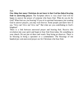fruit.

**One thing that many Christians do not know is that God has linked bearing fruit to answering prayer.** The Scripture above is very clear! God will be happy to answer the prayer of someone who bears fruit. What do you do for God? What fruit are you bearing? If you sit in spiritual barrenness just wanting God to answer prayers, you may wait forever. Some people just know how to say, "Give me! Give me! Give me!" But what are you contributing to God's kingdom?

There is a link between answered prayer and bearing fruit. Receive this revelation into your spirit and begin to bear fruit from today. Do something in your church. Do not just sit there and watch. Stop being an observer. There is no blessing in being a spectator or a commentator. The blessings of one hundred per cent answered prayer are for Christians who bear fruit.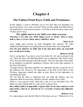# **The Failure-Proof Keys: Faith and Persistence**

In this chapter, I want to introduce you to two keys that will guarantee you answered prayer every time you pray! These are the eighth and ninth steps to one hundred per cent answered prayer. I will like to describe these steps as the "Failure-proof" keys.

#### **The eighth step is to use faith every time you pray. Therefore I say unto you, What things soever ye desire, when ye pray, believe that ye receive them, and ye shall have them.**

**Mark 11:24**

Jesus taught great lessons on faith throughout His ministry. He often emphasized that people were getting blessed because they were using faith.

#### **Now the just shall live by faith: but if any man draw back, my soul shall have no pleasure in him.**

#### **Hebrews 10:38**

God is saying that if you draw away from faith, He will not be pleased with you. There are those who think that faith is not so important. They tend to draw away from the faith message and faith people. They feel that there must rather be an emphasis on patience, gentleness, holiness and on the other qualities of the fruit of the Spirit.

I strongly believe that these qualities are important and play a special role in the Christian life. However, the importance of the fruit of the Spirit to the Christian experience should not make us play down on the importance of something like faith.

The fact that the heart is important does not make the kidneys any less important. Both are necessary, and have special, unique roles to play.

Faith is a very special virtue which has a role in every Christian's life. The Bible says that without faith it is *impossible* to please God.

**But without faith it is impossible to please him: for he that cometh to God must believe that he is, and that he is a rewarder of them that diligently seek him.**

**Hebrews 11:6**

It is interesting to note that the Word of God does not say: "Without love it is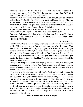impossible to please God." The Bible does not say: "Without peace it is impossible to please God." The Bible is very clear on this fact: WITHOUT FAITH IT IS *IMPOSSIBLE* TO PLEASE GOD!

Abraham's faith in God was considered to be an act of righteousness. Abraham believed that El' Shaddai was able to give him a child at an old age. Abraham had his faults. He lied about his wife and surrendered her twice to unbeliever kings for their pleasure. In spite of his lying and cowardly behaviour, God was very pleased with Abraham because he had faith in God.

Maybe by your standards, Abraham would have been disqualified. But he was a great man in God's sight. His greatness was a result of his faith.

**And being fully persuaded that, what he had promised, he was able also to perform. And therefore IT WAS IMPUTED TO HIM FOR RIGHTEOUSNESS.**

#### **Romans 4:21,22**

Dear Christian friend, God is happy, impressed and pleased when you believe in Him. When you believe that God will heal you, you make Him happy. When you believe that God will prosper you, you make Him excited. When you believe that your breakthrough is on the way, God is so pleased with you. When you have faith that you will live long, God is provoked to extend your life. **When you believe that God will give you increase and abundance, you excite the deep parts of El' Shaddai.** You make Him pour out the milk of His blessings into your life.

*I see you walking in the great blessings of Jehovah! I see you enjoying an abundant life in God! I see you free from sickness and disease! I see the power of curses broken in your life! I see that God is pleased with you because you believe in Him!*

From today, never doubt any part of God's Word. Accept that you are the champion He is speaking about. Flow with the message of prosperity, healing and abundance. Always remember that God is happy when you believe in Him. God is not a God of poverty. Since I came to know the Lord I have not decreased. I do not read about decrease, failure, setbacks and limitations in the Bible. I see only abundance, promotion and deliverance from my enemies. I see God lifting me up every day! God did not bring you to Christ in order to demote and disgrace you. He brought you to Christ to lift and establish you in an abundant life. Jesus came that we might have life and have it more abundantly (John 10:10).

#### **Jesus Blessed the Faith People**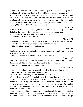Under the ministry of Jesus, several people experienced personal breakthroughs. Who were they? And why did they receive these miracles? You will remember what Jesus said about the woman with the issue of blood. This was a woman who had suffered for twelve years without any breakthrough. She came up to Jesus and received an extraordinary miracle. What was the secret of her breakthrough? Jesus gave the answer in Mark 5:34

…**Daughter, thy faith hath made thee whole…**

**Mark 5:34** Blind Bartimaeus received his sight miraculously. He was a noisy fellow who disturbed the service. But Jesus took notice of him and healed him. What was his secret? His secret was faith in God!

#### …**thy faith hath made thee whole.**

**Mark 10:52**

The sinful woman who poured an alabaster box of ointment on Jesus' feet also received a miracle of forgiveness. Jesus said to the woman:

…**Thy faith hath saved thee; go in peace.**

Ten lepers were healed and only one came back to say thank you. Jesus said these same words to him:

…**Arise, go thy way: thy faith hath made thee whole.**

**Luke 17:19**

Two blind men came to Jesus and asked for the mercy of God. Jesus touched them and healed them. What were His words to these two men?

#### …**According to your faith be it unto you.**

**Matthew 9:29**

Have you noticed that Jesus never said, "Thy love hath made thee whole" Jesus never said, "Thy holiness hath saved you."

He never said, "According to your patience, be it unto you."

Why did Jesus not say, "Thy good character hath made thee whole"?

Please do not misunderstand me! I am not saying that these things are not important! I am saying that it is the people's faith that impressed Jesus. I am showing you that Jesus pointed out over and over that it was their *faith* that had brought the breakthrough. That is why the Bible says that without faith it is impossible to please God.

Have you ever thought of those men who broke through the roof of somebody's house in order to bring their paralyzed friend to Christ? Perhaps they were experienced thieves who were used to breaking into people's homes. Perhaps

#### **Luke 7:50**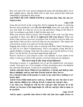they were men who were used to jumping the queue and cheating others out of their rightful places. But the Bible tells us that Jesus noticed their faith and immediately responded to their needs.

#### **And WHEN HE SAW THEIR FAITH he said unto him, Man, thy sins are forgiven thee.**

**Luke 5:20**

Jesus did not dwell on the wrong they did by jumping the queue or removing the tiles from somebody's roof. **He saw their faith.** Jesus sees your faith. God sees your faith. It is time for you to rise up and believe things in the Word of God. According to your faith, it shall be done unto you!

When you exercise faith in prayer, God responds in the same way that Jesus responded to these men. **He is so impressed with your prayer.** When you believe that you have received, you please God. In order to exercise faith, you must believe that you have received what you are praying for. This means you will not have to pray over and over for the same thing.

Begging and crying is not the same as praying with faith. Many Christians just cry and cry in a spirit of hopelessness. God is not against crying. But He is against faithless weeping. Trust God, He wants to give you the desires of your heart. I see the desires of your heart manifesting right now!

Receive answers to your prayers at this very moment, in Jesus name! From today, I want you to believe that you have received what you are asking for.

#### **The next step is the step of persistence.**

Persisting in prayer is a guaranteed way to get one hundred per cent prayer results. Jesus gave two vivid examples of how persistence gives one hundred per cent answered prayer. I want you to read them carefully.

**And he said unto them, Which of you shall have a friend, and shall go unto him at midnight, and say unto him, Friend, lend me three loaves;**

**For a friend of mine in his journey is come to me, and I have nothing to set before him?**

**And he from within shall answer and say, Trouble me not: the door is now shut, and my children are with me in bed; I cannot rise and give thee.**

**I say unto you, Though he will not rise and give him, because he is his friend, yet because of his importunity he will rise and give him as many as he needeth.**

**Luke 11:5-8**

**And he spake a parable unto them to this end, that men ought always to**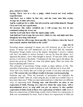**pray, and not to faint;**

**Saying, There was in a city a judge, which feared not God, neither regarded man:**

**And there was a widow in that city; and she came unto him, saying, Avenge me of mine adversary.**

**And he would not for a while: but afterward he said within himself, Though I fear not God, nor regard man;**

**Yet because this widow troubleth me, I will avenge her, lest by her continual coming she weary me.**

**And the Lord said, Hear what the unjust judge saith.**

**And shall not God avenge his own elect, which cry day and night unto him, though he bear long with them?**

**I tell you that he will avenge them speedily. Nevertheless when the Son of man cometh, shall he find faith on the earth?**

**Luke 18:1-8**

Persisting means repeating! It means you will tirelessly go to the Lord in prayer. It means you will shamelessly cry to the Lord until He responds. Persistence brings results even in the natural. Sometimes I receive a phone call, but I am unable to answer because I am too far from the phone. As I approach the phone, I have often thought to myself, "If only this caller would persist, I will answer the phone." Sometimes by the time I get to the phone, the person has given up. There are some who phone again. There are some who keep on phoning until I answer.

This principle of persistence brings results in many spheres of life. This principle of persistence works in prayer as well. I did not say it, *Jesus* did!

Jesus said very clearly that you would get results if you pray and pray and pray! **The reason why you will get results is because you keep praying.**

Someone may ask, "Does the principle of persistence not contradict the principle of faith? After all, when using the key of faith you wouldn't have to pray more than once!" What you must understand here is that there are different ways of expressing faith. **Praying once and thereafter no more is one expression of faith. Praying over and over about the same issue, with a determination never to stop until you get an answer is also another expression of faith. Each of these two expressions of faith is valid.** Each of these two expressions of faith brings results. Each of these two expressions of faith was recommended by Jesus. Each of these two expressions of faith can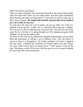make God answer your prayer.

There are many Christians who can testify about how they prayed persistently until God answered! There are also many others who have great testimonies about praying once and receiving answers. Jesus did not teach on only one of these styles of prayer. **He taught both methods and guaranteed one hundred per cent results in each case.**

So what does this mean for you? It means you can use either one of the two methods and get positive results. This is somewhat like using your computer. You can access a file by entering your word processor. You can also access the same file by a hot key or by going through your file managing program. Both methods will get you the same results.

For those of you who do not understand computer programming, you can liken faith and persistence to killing a cat in different ways. You can drown it, poison it, shoot it or decapitate it. All of these methods will lead to a hundred per cent result – a hundred per cent dead cat! Decide today to use any of these two keys. Both of these keys are failure proof. "Faith" prayers work all the time. Persistence works all the time. God has given you two assured methods for receiving 100% answered prayer.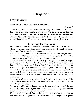# **Praying Amiss**

#### **Ye ask, and receive not, because ye ask amiss…**

#### **James 4:3**

Unfortunately, many Christians ask God for things He cannot give them. God does not answer prayers that have gone amiss. **Praying amiss means that you pray unacceptable, unsuitable, inappropriate, inadmissible, unallowable, unsatisfactory and impossible prayers.** God will not do things which are against His principles. There are four ways you can avoid praying amiss.

#### **Do not pray foolish prayers.**

Faith is very different from foolishness. There are many Christians who exhibit silliness when they pray. Some people ask the Lord for ill-considered things. God is not a fool. Please do not try to make Him one.

The fact that you are allowed to exercise faith does not mean that you should be irrational. When God takes no notice of foolish prayers, do not say that prayer does not work. It is foolish prayers that do not work.

If you ask God for somebody's husband, you are praying a foolish prayer. Some young men, starting out in life, ask the Lord for huge mansions and fantastically expensive cars. It is true that God wants to bless you, but do not expect God to promote you overnight. Look at your Bible carefully. All the people who were blessed experienced it over a period of several years. If you are a married person and you do not use contraceptives to prevent pregnancy, please do not bind the babies in your wife's womb. God does not respond to foolishness.

If you have a job to do and you do not do it, do not pray that your boss will be struck with blindness so that he will not see the lapses in your work. That is an imbecilic prayer request!

As you grow older do not bother to pray for your youth to return. It is gone forever. You cannot retrace your steps. There is a natural aging process which you cannot bind or revoke by absurd prayers!

Why do you bother to ask God to give you an airplane when you don't even own a bicycle? You might as well ask Him to make you the Queen of England.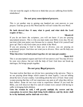I do not want the angels in Heaven to think that you are suffering from feeblemindedness!

#### **Do not pray unscriptural prayers.**

This is yet another step to gaining one hundred per cent answers to your prayers. God has given us His Word and He will not violate His own Word.

#### **He hath shewed thee O man, what is good; and what doth the Lord require of thee…**

#### **Micah 6:8**

If you do not know the scriptures, you will not know if you are praying unscriptural prayers. This is why you must study your Bible every day. Do not just trust what your pastor says because he is a pastor. Read it for yourself and grow up! That is why God wants you to abide in the Word.

If you are praying to God to help you to divorce, you are praying an unscriptural prayer. God does not want you to divorce. How can He help you to divorce?

#### **What therefore God hath joined together, let not man put asunder.**

#### **Mark 10:9**

This is an unscriptural request and God will not answer you! You may divorce by your own choice, but not with the help of God. God does not break up marriages, He brings people together.

## **Do not pray illegal prayers.**

You must realize that there are divine laws operating in the universe. There is no use praying about things which cannot be done legally. I am not talking about the laws of your country. I am talking about the laws of God. I hear some women praying that they will not experience any pain at all when they deliver their babies. Some do not even want to experience labour! If you read the Bible, you will discover that Eve and all women were cursed with having to suffer in bringing forth children.

**Unto the woman he said, I will greatly multiply thy sorrow and thy conception; in sorrow thou shalt bring forth children; and thy desire shall be to thy husband, and he shall rule over thee.**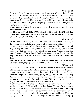Coming to Christ does not revoke that curse in any way. We are redeemed from the curse of the law and not from the curse of Adam and Eve. That curse came about as a legal punishment for disobeying the Word of God. It is the legal recompense for Adam and Eve's wrong doing and it has a legal right to remain. It is not your "feeble" prayer that is going to revoke a six thousand-year-old legal pronouncement.

In the same way, there is no man on this earth who can escape the curse declared over Adam.

#### **IN THE SWEAT OF THY FACE SHALT THOU EAT BREAD till thou return unto the ground; for out of it was thou taken: for dust thou art, and UNTO DUST SHALL THOU RETURN.**

#### **Genesis 3:19**

All men are experiencing the sweat on their faces. All men are returning to dust. All men will go to the grave one day. It is just a matter of time.

No matter who they are, all men have to sweat to prosper. No matter how rich they are they will return to the ground. There is no use praying against it. You cannot pray that you will prosper without working hard. You cannot pray that you will not die. That is illegal! Until Jesus returns, you and I have to go the way of all men. Great men like David knew that there was no escape from death.

#### **Now the days of David drew nigh that he should die; and he charged Solomon his son, saying, I GO THE WAYOFALL THE EARTH...**

#### **I Kings 2:1, 2**

What is the way of all the earth? It is the inescapable experience of death that all human beings must go through. There is no use in binding or cancelling it!

If you pray about things that cannot be answered, you will only erode your confidence in prayer. You will keep getting disappointed in God. Do not pray that you will not have to work hard. Working hard and sweating your way to prosperity is the legal way for us all to prosper. What you must rather do is to pray for wisdom to alleviate the effects of these curses.

It is the wisdom of medical science that alleviates the trauma of childbirth. Get medical science and things will be a little better. Through the wisdom of medical science, many women have experienced little pain in childbirth. Many women have had less sorrow in childbirth through the use of wisdom. I am not saying that God cannot alleviate the pain and trauma of childbirth. What I am saying is this: It is both difficult and illegal to remove a tenant who is legally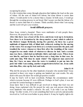occupying his place.

It is the wisdom that comes through education that lightens the load on the sons of Adam. All the sons of Adam will labour, but some labour is easier than others. I would prefer to be a doctor than a cleaner. In both cases, I would go through the sweating process to eat bread. But I assure you that the labour of a doctor is easier than that of a cleaner. Think carefully about what I am saying and the Lord will give you wisdom.

#### **Avoid difficult prayers.**

Once Jesus visited a hospital. There were multitudes of sick people there. However, He prayed for only one person.

**After this there was a feast of the Jews; and Jesus went up to Jerusalem. Now there is at Jerusalem by the sheep market a pool, which is called in the Hebrew tongue Bethesda, having five porches. In these lay a great multitude of impotent folk, of blind, halt, withered, waiting for the moving of the water. For an angel went down at a certain season into the pool, and troubled the water: whosoever then first after the troubling of the water stepped in was made whole of whatsoever disease he had. And a certain man was there, which had an infirmity thirty and eight years. When Jesus saw him lie, and knew that he had been now a long time in that case, he saith unto him, Wilt thou be made whole? The impotent man answered him, Sir, I have no man, when the water is troubled, to put me into the pool: but while I am coming, another steppeth down before me. Jesus saith unto him, Rise, take up thy bed, and walk.**

#### **John 5:1-8**

Why did He not pray for the other hundreds of people who needed help? Jesus operated in these very steps to getting one hundred per cent results. He only dealt with cases He knew He would get positive results!

It may be God's will to heal everybody. Perhaps the circumstances under which everyone became ill were different. Perhaps in God's plan, it was not yet time for certain healings to manifest.

Jesus knew that it was difficult to get involved in things that God was not doing. Jesus explained why He prayed for only one sick person when there were hundreds who needed a miracle. He said, "I do what I see my Father doing." In other words, if it is not something that God is actively and presently involved in, I will not even bother to pray about it. It may be legally right to do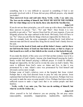something, but it is very difficult to succeed in something if God is not presently involved with it. If Jesus did not pray difficult prayers, why should you bother?

#### **Then answered Jesus and said unto them, Verily, verily, I say unto you, The Son can do nothing of himself, but WHAT HE SEETH THE FATHER DO: for what things soever he doeth, these also doeth the Son likewise.**

#### **John 5:19**

If you do not use these principles, you will come up with a theory that God has three answers to prayer: "Yes", "No" and "Wait". Dear friend, it is very possible to get only a "Yes" answer from God for *all* your requests, if you can diligently practise the steps outlined in this book. Obviously, God will have to say "No" when you ask Him for things which are impossible for Him to do.

Take for example Joab, the army commander of King David. Joab killed an innocent man and David cursed him. King David cursed Joab's family forever. He said,

#### **Let it rest on the head of Joab, and on all his father's house; and let there not fail from the house of Joab one that hath an issue, or that is a leper, or that leaneth on a staff, or that falleth on the sword, or that lacketh bread. 2 Samuel 3:29**

If you study the details of this curse you will find out that sickness was to be a permanent part of Joab's family. Anyone who found himself praying for Joab's family would find himself praying a difficult prayer. It would be difficult, though not impossible, for the Lord to revoke the curse on Joab's family. This curse is different from God's curse on Adam and Eve, in that it was pronounced by a man. Adam's curse was pronounced by God himself and obviously carries more weight.

Perhaps some of Joab's relatives were at the hospital that Jesus visited. Perhaps that is why God directed Jesus to pray for only one person. Jesus explained that God had led Him to pray for only one person. Perhaps God was not ready to undo the curse on some people's lives. Perhaps God does not have sufficient reason to undo a legal curse that is on certain people and their families.

…**Verily, verily, I say unto you, The Son can do nothing of himself, but what he seeth the Father do…**

#### **John 5:19**

Allow yourself to be led whenever you are praying. Do not pray amiss (unacceptable, unsuitable, inappropriate, inadmissible, unallowable,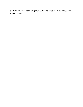unsatisfactory and impossible prayers)! Be like Jesus and have 100% answers to your prayers.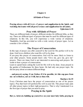#### **All Kinds of Prayer**

#### **Praying always with all** [kinds of] **prayer and supplication in the Spirit, and watching thereunto with all perseverance and supplication for all saints; Ephesians 6:18**

#### **Pray with All Kinds of Prayer**

There are different kinds of prayer; different strokes for different folks, as they say. There are different types of prayers that must be used for different types of situations. In this life, you will experience a wide variety of situations. Thankfully, God has provided us with a wide variety of prayer types. Let us consider a few of these.

#### **The Prayer of Consecration**

In this type of prayer you offer yourself to the Lord for His perfect will to be done. God loves children who want His will to be done.

If you pray this prayer of consecration, God will be more likely to listen to your other prayers. Some people know only "Give me, give me, give me" prayers. There are times God is not interested in answering such prayers. He wants to hear a prayer of consecration.

Learn to spend hours asking the Lord for His will to be done. Jesus prayed in the garden of Gethsemane for three hours. He had only one prayer topic. He did not pray about seventeen different things

#### …**and prayed, saying, O my Father, if it be possible, let this cup pass from me: nevertheless, not as I will, but as thou wilt.**

#### **Matthew 26:39**

Every Christian must have the prayer of consecration as one of his prayer topics. Pray that God will perform His will in your life. This prayer topic puts all other prayer topics in their right perspective. That is why I mentioned it as the first type of prayer that you need to pray.

## **Praying in the Spirit**

**But ye, beloved, building up yourselves on your most holy faith, praying in**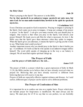#### **the Holy Ghost**

What is praying in the Spirit? The answer is in the Bible.

**For he that speaketh in an unknown tongue speaketh not unto men, but unto God: for no man understandeth him; howbeit in the spirit he speaketh mysteries.**

#### **1 Corinthians 14:2**

Every Christian can speak to God in mysteries. Praying in tongues is praying in the Spirit. God wants you to pray in tongues. A large per centage of my prayer is prayer "in the Spirit". I can give you many reasons why you should pray in tongues. One reason is that when you pray in the Spirit, God directs your prayer Himself. He leads you to ask Him for what is necessary. In Acts 2, the Bible says that the Spirit gave them utterance when they spake in tongues. When the Spirit gives you utterance, it means the Spirit is giving you the words to say. What better deal could you have?

Another important reason why you should pray in the Spirit is that it builds you up. 1 Corinthians 14:4 tells us that he who speaks in an unknown tongue edifies himself. The word edify speaks of charging up in the way a car battery is charged. We all need that regular spiritual charge up.

# **The Prayer of Faith**

#### …**And the prayer of faith shall save the sick…**

#### **James 5:15**

The prayer of faith is a prayer which has a great expression of faith. In Mark 11:24, the Bible teaches us to believe that we have already received what we prayed for. Believing that you have already received is different from believing that you will receive it one day.

Prayers of faith are especially effective against sickness and disease. As I said earlier, different types of prayer can be used to solve different problems.

#### **The Prayer of Confession of Sins**

It is important for us to confess our sins on a regular basis. Prayer which does not include prayer for forgiveness is insufficient. We must always ask for mercy. We must pray for it! If we say that we are perfect, we are foolishly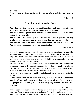deceived.

**If we say that we have no sin, we deceive ourselves, and the truth is not in us.**

**1 John 1:8**

#### **The Short and Powerful Prayer**

**And when they had sent away the multitude, they took him even as he was in the ship. And there were also with him other little ships.**

**And there arose a great storm of wind, and the waves beat into the ship, so that it was now full.**

**And he was in the hinder part of the ship, asleep on a pillow: and they awake him and say unto him, Master, carest thou not that we perish?**

**And he arose, and rebuked the wind, and said unto the sea, Peace, be still. And the wind ceased, and there was a great calm.**

**Mark 4:36-39**

In this Scripture, Jesus found Himself in a crisis situation. He and His disciples were caught up in the middle of a very dangerous storm, and their very lives were being threatened. There was no time to find a quiet place to pray for the hand of God to move on their behalf. He just prayed a short but powerful prayer and the storm ceased!

Also in John 11:41,42, Jesus encountered another situation that demanded an immediate response. He needed a miracle for his family friends. His old pal Lazarus had been dead for four days. Everyone was looking up to him. Could he go away and pray for three hours? The answer is no!

He had to pray a short prayer and He needed results immediately. Listen to His prayer,

…**And Jesus lifted up his eyes, and said, Father, I thank thee that thou hast heard me. And I knew that thou hearest me always: but because of the people which stand by I said it, that they may believe that thou hast sent me.**

#### **John 11:41,42**

These types of prayers come in handy when you are faced with a crisis situation. There is no time to retreat and pray. Pray a short and powerful prayer when you need to and believe that God has heard you. After the short and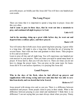powerful prayer, act boldly just like Jesus did! You will have one hundred per cent results.

#### **The Long Prayer**

There are times that it is important to spend a long time in prayer. Jesus did this very often.

**And it came to pass in those days, that he went out into a mountain to pray, and continued all night in prayer to God.**

**Luke 6:12**

**And in the morning, rising up a great while before day, he went out and departed into a solitary place, and there prayed.**

#### **Mark 1:35**

You will notice that in both cases Jesus spent long hours praying. A great while is a long time. All night is also a long time. Develop the art of praying for several hours. Start with one hour and graduate to three hours. Then progress to five and seven hours!

Learn to pray all day and all night long. You will experience one hundred per cent answers to your prayers. There are times you need to spend many hours in prayer. If Jesus had to, then you will also have to. There are times you do not have to change the prayer topic. You can pray on the same topic for hours. Jesus did it! It is not useless repetition, it is praying like Jesus did.

#### **Loud Prayers**

**Who in the days of his flesh, when he had offered up prayers and supplications with strong crying and tears unto him that was able to save him from death, and was heard that in he feared;**

#### **Hebrews 5:7**

Jesus prayed with strong cries and so can you. There is a difference between meditation and prayer. Some people claim to pray in their minds. What is the difference between praying in your mind and meditation? I think there is no difference! I am not saying that you must always shout when you pray. Ninety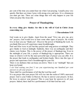per cent of the time you cannot hear me when I am praying. I usually pray very quietly. But there are times I pray with strong cries and tears. It is a dimension you must get into. There are some things that will only happen in your life when you pray like Jesus did.

#### **Prayer of Thanksgiving**

**In every thing give thanks: for this is the will of God in Christ Jesus concerning you.**

#### **1 Thessalonians 5:18**

God wants us to give thanks. Apart from the usual "Give me, give me, give me" prayers, God would love to hear some other types of prayers. He would love to hear you say "thank you". Discover the power of thanking the Lord. As you thank Him you will experience many breakthroughs.

Paul and Silas were in jail but they prayed and sang praises at midnight. They gave thanks to God at midnight. Suddenly, there was an earthquake and their chains were broken. This is the power of the prayer of thanksgiving. Even in the midnight of your life, a prayer of thanksgiving is appropriate. There are times in which it will be the most powerful type of prayer you can offer. It is the prayer that leads to earthquakes and broken bands. Move into this type of prayer and experience God's breakthrough for your life.

There is no darkness that can keep you down. There is no "midnight" that can keep you bound.

*I see God setting you free! I see you experiencing one hundred per cent answers to all your prayers!*

There shall be a performance of all that the Lord has said!

It is my prayer that your prayer life will rise into the realm of 100% answered prayer. God is your Father in Heaven. He has to answer your prayers. In fact, He loves to answer your prayers! This is your hour for answers to all your prayers. Indeed, there shall be a performance of all that God has said.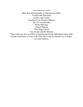#### \*\*\*\*\*\*\*\*\*\*\*\*\*\*\*\*\*\*\*

Other Best-Selling Books by Dag Heward-Mills: \*Loyalty and Disloyalty Leaders and Loyalty Transform Your Pastoral Ministry The Art of Leadership Model Marriage Church Planting \*The Mega Church \*Lay People and the Ministry

\*These titles are also available in Spanish and French. Information about other foreign translations of some of the titles above may be obtained by writing to our email address.